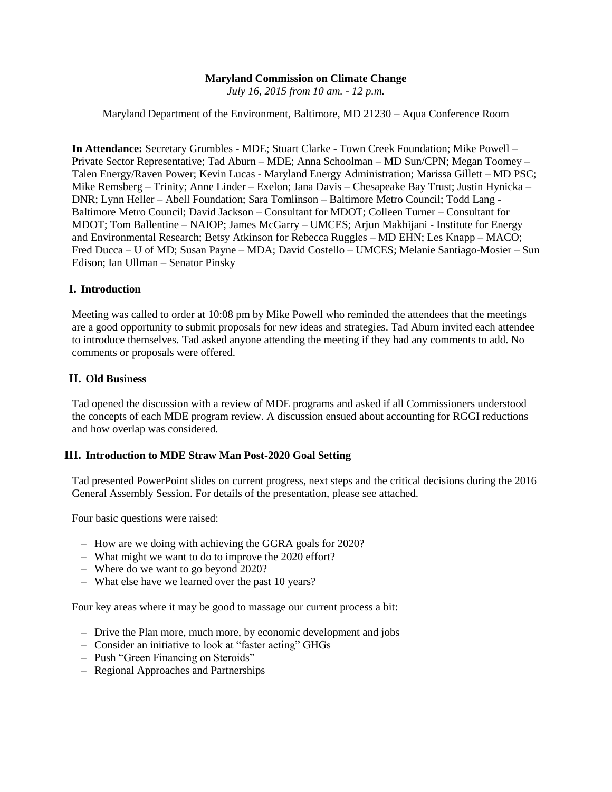## **Maryland Commission on Climate Change**

*July 16, 2015 from 10 am. - 12 p.m.*

Maryland Department of the Environment, Baltimore, MD 21230 – Aqua Conference Room

**In Attendance:** Secretary Grumbles - MDE; Stuart Clarke - Town Creek Foundation; Mike Powell – Private Sector Representative; Tad Aburn – MDE; Anna Schoolman – MD Sun/CPN; Megan Toomey – Talen Energy/Raven Power; Kevin Lucas - Maryland Energy Administration; Marissa Gillett – MD PSC; Mike Remsberg – Trinity; Anne Linder – Exelon; Jana Davis – Chesapeake Bay Trust; Justin Hynicka – DNR; Lynn Heller – Abell Foundation; Sara Tomlinson – Baltimore Metro Council; Todd Lang - Baltimore Metro Council; David Jackson – Consultant for MDOT; Colleen Turner – Consultant for MDOT; Tom Ballentine – NAIOP; James McGarry – UMCES; Arjun Makhijani - Institute for Energy and Environmental Research; Betsy Atkinson for Rebecca Ruggles – MD EHN; Les Knapp – MACO; Fred Ducca – U of MD; Susan Payne – MDA; David Costello – UMCES; Melanie Santiago-Mosier – Sun Edison; Ian Ullman – Senator Pinsky

### **I. Introduction**

Meeting was called to order at 10:08 pm by Mike Powell who reminded the attendees that the meetings are a good opportunity to submit proposals for new ideas and strategies. Tad Aburn invited each attendee to introduce themselves. Tad asked anyone attending the meeting if they had any comments to add. No comments or proposals were offered.

#### **II. Old Business**

Tad opened the discussion with a review of MDE programs and asked if all Commissioners understood the concepts of each MDE program review. A discussion ensued about accounting for RGGI reductions and how overlap was considered.

#### **III. Introduction to MDE Straw Man Post-2020 Goal Setting**

Tad presented PowerPoint slides on current progress, next steps and the critical decisions during the 2016 General Assembly Session. For details of the presentation, please see attached.

Four basic questions were raised:

- How are we doing with achieving the GGRA goals for 2020?
- What might we want to do to improve the 2020 effort?
- Where do we want to go beyond 2020?
- What else have we learned over the past 10 years?

Four key areas where it may be good to massage our current process a bit:

- Drive the Plan more, much more, by economic development and jobs
- Consider an initiative to look at "faster acting" GHGs
- Push "Green Financing on Steroids"
- Regional Approaches and Partnerships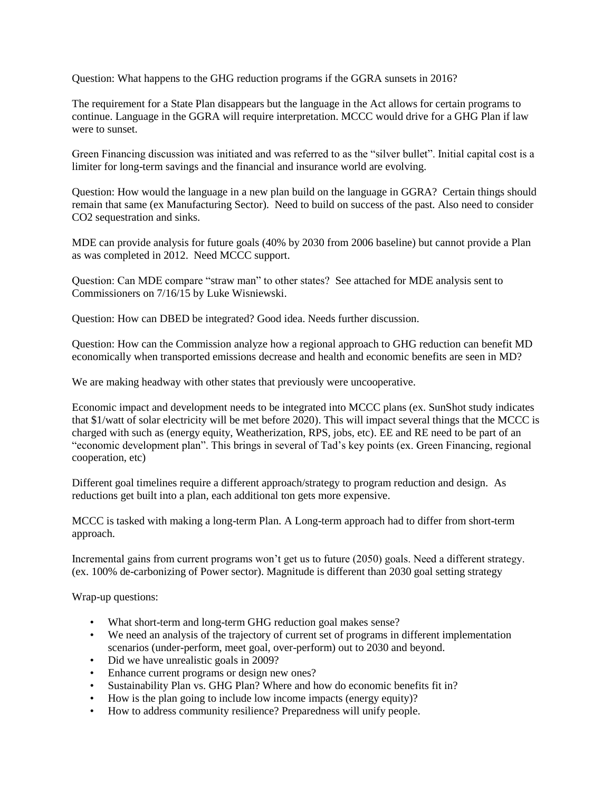Question: What happens to the GHG reduction programs if the GGRA sunsets in 2016?

The requirement for a State Plan disappears but the language in the Act allows for certain programs to continue. Language in the GGRA will require interpretation. MCCC would drive for a GHG Plan if law were to sunset.

Green Financing discussion was initiated and was referred to as the "silver bullet". Initial capital cost is a limiter for long-term savings and the financial and insurance world are evolving.

Question: How would the language in a new plan build on the language in GGRA? Certain things should remain that same (ex Manufacturing Sector). Need to build on success of the past. Also need to consider CO2 sequestration and sinks.

MDE can provide analysis for future goals (40% by 2030 from 2006 baseline) but cannot provide a Plan as was completed in 2012. Need MCCC support.

Question: Can MDE compare "straw man" to other states? See attached for MDE analysis sent to Commissioners on 7/16/15 by Luke Wisniewski.

Question: How can DBED be integrated? Good idea. Needs further discussion.

Question: How can the Commission analyze how a regional approach to GHG reduction can benefit MD economically when transported emissions decrease and health and economic benefits are seen in MD?

We are making headway with other states that previously were uncooperative.

Economic impact and development needs to be integrated into MCCC plans (ex. SunShot study indicates that \$1/watt of solar electricity will be met before 2020). This will impact several things that the MCCC is charged with such as (energy equity, Weatherization, RPS, jobs, etc). EE and RE need to be part of an "economic development plan". This brings in several of Tad's key points (ex. Green Financing, regional cooperation, etc)

Different goal timelines require a different approach/strategy to program reduction and design. As reductions get built into a plan, each additional ton gets more expensive.

MCCC is tasked with making a long-term Plan. A Long-term approach had to differ from short-term approach.

Incremental gains from current programs won't get us to future (2050) goals. Need a different strategy. (ex. 100% de-carbonizing of Power sector). Magnitude is different than 2030 goal setting strategy

Wrap-up questions:

- What short-term and long-term GHG reduction goal makes sense?
- We need an analysis of the trajectory of current set of programs in different implementation scenarios (under-perform, meet goal, over-perform) out to 2030 and beyond.
- Did we have unrealistic goals in 2009?
- Enhance current programs or design new ones?
- Sustainability Plan vs. GHG Plan? Where and how do economic benefits fit in?
- How is the plan going to include low income impacts (energy equity)?
- How to address community resilience? Preparedness will unify people.